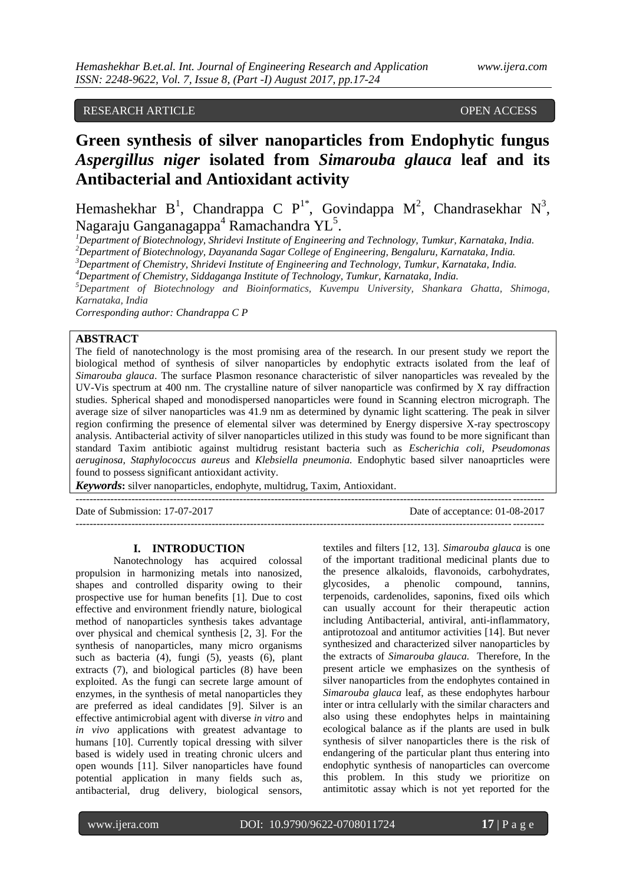# RESEARCH ARTICLE **CONTRACT ARTICLE**

# **Green synthesis of silver nanoparticles from Endophytic fungus**  *Aspergillus niger* **isolated from** *Simarouba glauca* **leaf and its Antibacterial and Antioxidant activity**

Hemashekhar B<sup>1</sup>, Chandrappa C P<sup>1\*</sup>, Govindappa M<sup>2</sup>, Chandrasekhar N<sup>3</sup>, Nagaraju Ganganagappa<sup>4</sup> Ramachandra YL<sup>5</sup>.

*<sup>1</sup>Department of Biotechnology, Shridevi Institute of Engineering and Technology, Tumkur, Karnataka, India.*

*<sup>2</sup>Department of Biotechnology, Dayananda Sagar College of Engineering, Bengaluru, Karnataka, India.*

*<sup>3</sup>Department of Chemistry, Shridevi Institute of Engineering and Technology, Tumkur, Karnataka, India.*

*<sup>4</sup>Department of Chemistry, Siddaganga Institute of Technology, Tumkur, Karnataka, India.*

*<sup>5</sup>Department of Biotechnology and Bioinformatics, Kuvempu University, Shankara Ghatta, Shimoga, Karnataka, India*

*Corresponding author: Chandrappa C P*

# **ABSTRACT**

The field of nanotechnology is the most promising area of the research. In our present study we report the biological method of synthesis of silver nanoparticles by endophytic extracts isolated from the leaf of *Simarouba glauca*. The surface Plasmon resonance characteristic of silver nanoparticles was revealed by the UV-Vis spectrum at 400 nm. The crystalline nature of silver nanoparticle was confirmed by X ray diffraction studies. Spherical shaped and monodispersed nanoparticles were found in Scanning electron micrograph. The average size of silver nanoparticles was 41.9 nm as determined by dynamic light scattering. The peak in silver region confirming the presence of elemental silver was determined by Energy dispersive X-ray spectroscopy analysis. Antibacterial activity of silver nanoparticles utilized in this study was found to be more significant than standard Taxim antibiotic against multidrug resistant bacteria such as *Escherichia coli, Pseudomonas aeruginosa, Staphylococcus aureus* and *Klebsiella pneumonia.* Endophytic based silver nanoaprticles were found to possess significant antioxidant activity.

--------------------------------------------------------------------------------------------------------------------------------------

*Keywords***:** silver nanoparticles, endophyte, multidrug, Taxim, Antioxidant.

Date of Submission: 17-07-2017 Date of acceptance: 01-08-2017 --------------------------------------------------------------------------------------------------------------------------------------

### **I. INTRODUCTION**

Nanotechnology has acquired colossal propulsion in harmonizing metals into nanosized, shapes and controlled disparity owing to their prospective use for human benefits [1]. Due to cost effective and environment friendly nature, biological method of nanoparticles synthesis takes advantage over physical and chemical synthesis [2, 3]. For the synthesis of nanoparticles, many micro organisms such as bacteria (4), fungi (5), yeasts (6), plant extracts (7), and biological particles (8) have been exploited. As the fungi can secrete large amount of enzymes, in the synthesis of metal nanoparticles they are preferred as ideal candidates [9]. Silver is an effective antimicrobial agent with diverse *in vitro* and *in vivo* applications with greatest advantage to humans [10]. Currently topical dressing with silver based is widely used in treating chronic ulcers and open wounds [11]. Silver nanoparticles have found potential application in many fields such as, antibacterial, drug delivery, biological sensors,

textiles and filters [12, 13]. *Simarouba glauca* is one of the important traditional medicinal plants due to the presence alkaloids, flavonoids, carbohydrates, glycosides, a phenolic compound, tannins, terpenoids, cardenolides, saponins, fixed oils which can usually account for their therapeutic action including Antibacterial, antiviral, anti-inflammatory, antiprotozoal and antitumor activities [14]. But never synthesized and characterized silver nanoparticles by the extracts of *Simarouba glauca.* Therefore, In the present article we emphasizes on the synthesis of silver nanoparticles from the endophytes contained in *Simarouba glauca* leaf, as these endophytes harbour inter or intra cellularly with the similar characters and also using these endophytes helps in maintaining ecological balance as if the plants are used in bulk synthesis of silver nanoparticles there is the risk of endangering of the particular plant thus entering into endophytic synthesis of nanoparticles can overcome this problem. In this study we prioritize on antimitotic assay which is not yet reported for the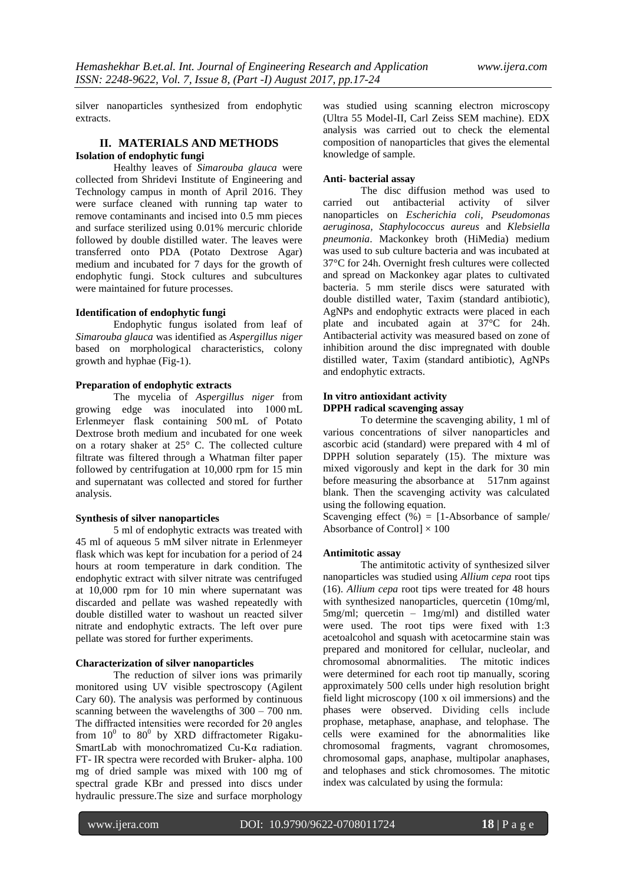silver nanoparticles synthesized from endophytic extracts.

# **II. MATERIALS AND METHODS Isolation of endophytic fungi**

Healthy leaves of *Simarouba glauca* were collected from Shridevi Institute of Engineering and Technology campus in month of April 2016. They were surface cleaned with running tap water to remove contaminants and incised into 0.5 mm pieces and surface sterilized using 0.01% mercuric chloride followed by double distilled water. The leaves were transferred onto PDA (Potato Dextrose Agar) medium and incubated for 7 days for the growth of endophytic fungi. Stock cultures and subcultures were maintained for future processes.

#### **Identification of endophytic fungi**

Endophytic fungus isolated from leaf of *Simarouba glauca* was identified as *Aspergillus niger* based on morphological characteristics, colony growth and hyphae (Fig-1).

# **Preparation of endophytic extracts**

The mycelia of *Aspergillus niger* from growing edge was inoculated into 1000 mL Erlenmeyer flask containing 500 mL of Potato Dextrose broth medium and incubated for one week on a rotary shaker at 25° C. The collected culture filtrate was filtered through a Whatman filter paper followed by centrifugation at 10,000 rpm for 15 min and supernatant was collected and stored for further analysis.

#### **Synthesis of silver nanoparticles**

5 ml of endophytic extracts was treated with 45 ml of aqueous 5 mM silver nitrate in Erlenmeyer flask which was kept for incubation for a period of 24 hours at room temperature in dark condition. The endophytic extract with silver nitrate was centrifuged at 10,000 rpm for 10 min where supernatant was discarded and pellate was washed repeatedly with double distilled water to washout un reacted silver nitrate and endophytic extracts. The left over pure pellate was stored for further experiments.

# **Characterization of silver nanoparticles**

The reduction of silver ions was primarily monitored using UV visible spectroscopy (Agilent Cary 60). The analysis was performed by continuous scanning between the wavelengths of 300 – 700 nm. The diffracted intensities were recorded for 2θ angles from  $10^0$  to  $80^0$  by XRD diffractometer Rigaku-SmartLab with monochromatized Cu-Kα radiation. FT- IR spectra were recorded with Bruker- alpha. 100 mg of dried sample was mixed with 100 mg of spectral grade KBr and pressed into discs under hydraulic pressure.The size and surface morphology

was studied using scanning electron microscopy (Ultra 55 Model-II, Carl Zeiss SEM machine). EDX analysis was carried out to check the elemental composition of nanoparticles that gives the elemental knowledge of sample.

# **Anti- bacterial assay**

The disc diffusion method was used to carried out antibacterial activity of silver nanoparticles on *Escherichia coli, Pseudomonas aeruginosa, Staphylococcus aureus* and *Klebsiella pneumonia*. Mackonkey broth (HiMedia) medium was used to sub culture bacteria and was incubated at 37°C for 24h. Overnight fresh cultures were collected and spread on Mackonkey agar plates to cultivated bacteria. 5 mm sterile discs were saturated with double distilled water, Taxim (standard antibiotic), AgNPs and endophytic extracts were placed in each plate and incubated again at 37°C for 24h. Antibacterial activity was measured based on zone of inhibition around the disc impregnated with double distilled water, Taxim (standard antibiotic), AgNPs and endophytic extracts.

# **In vitro antioxidant activity DPPH radical scavenging assay**

To determine the scavenging ability, 1 ml of various concentrations of silver nanoparticles and ascorbic acid (standard) were prepared with 4 ml of DPPH solution separately (15). The mixture was mixed vigorously and kept in the dark for 30 min before measuring the absorbance at 517nm against blank. Then the scavenging activity was calculated using the following equation.

Scavenging effect  $(\%) = [1-Absorbance of sample/$ Absorbance of Control $] \times 100$ 

#### **Antimitotic assay**

The antimitotic activity of synthesized silver nanoparticles was studied using *Allium cepa* root tips (16). *Allium cepa* root tips were treated for 48 hours with synthesized nanoparticles, quercetin (10mg/ml, 5mg/ml; quercetin – 1mg/ml) and distilled water were used. The root tips were fixed with 1:3 acetoalcohol and squash with acetocarmine stain was prepared and monitored for cellular, nucleolar, and chromosomal abnormalities. The mitotic indices were determined for each root tip manually, scoring approximately 500 cells under high resolution bright field light microscopy (100 x oil immersions) and the phases were observed. Dividing cells include prophase, metaphase, anaphase, and telophase. The cells were examined for the abnormalities like chromosomal fragments, vagrant chromosomes, chromosomal gaps, anaphase, multipolar anaphases, and telophases and stick chromosomes. The mitotic index was calculated by using the formula: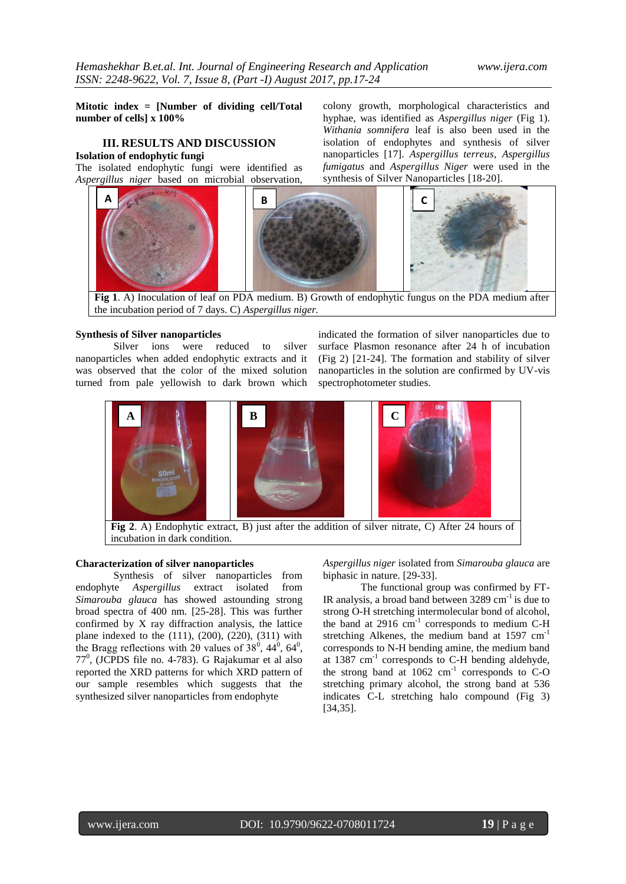**Mitotic index = [Number of dividing cell/Total number of cells] x 100%**

# **III. RESULTS AND DISCUSSION Isolation of endophytic fungi**

The isolated endophytic fungi were identified as *Aspergillus niger* based on microbial observation,

colony growth, morphological characteristics and hyphae, was identified as *Aspergillus niger* (Fig 1). *Withania somnifera* leaf is also been used in the isolation of endophytes and synthesis of silver nanoparticles [17]. *Aspergillus terreus, Aspergillus fumigatus* and *Aspergillus Niger* were used in the synthesis of Silver Nanoparticles [18-20].



**Fig 1**. A) Inoculation of leaf on PDA medium. B) Growth of endophytic fungus on the PDA medium after the incubation period of 7 days. C) *Aspergillus niger.*

#### **Synthesis of Silver nanoparticles**

Silver ions were reduced to silver nanoparticles when added endophytic extracts and it was observed that the color of the mixed solution turned from pale yellowish to dark brown which indicated the formation of silver nanoparticles due to surface Plasmon resonance after 24 h of incubation (Fig 2) [21-24]. The formation and stability of silver nanoparticles in the solution are confirmed by UV-vis spectrophotometer studies.



**Fig 2**. A) Endophytic extract, B) just after the addition of silver nitrate, C) After 24 hours of incubation in dark condition.

## **Characterization of silver nanoparticles**

Synthesis of silver nanoparticles from endophyte *Aspergillus* extract isolated from *Simarouba glauca* has showed astounding strong broad spectra of 400 nm. [25-28]. This was further confirmed by X ray diffraction analysis, the lattice plane indexed to the (111), (200), (220), (311) with the Bragg reflections with 2θ values of  $38^0$ ,  $44^0$ ,  $64^0$ , 77<sup>0</sup> , (JCPDS file no. 4-783). G Rajakumar et al also reported the XRD patterns for which XRD pattern of our sample resembles which suggests that the synthesized silver nanoparticles from endophyte

*Aspergillus niger* isolated from *Simarouba glauca* are biphasic in nature. [29-33].

The functional group was confirmed by FT-IR analysis, a broad band between  $3289 \text{ cm}^{-1}$  is due to strong O-H stretching intermolecular bond of alcohol, the band at  $2916 \text{ cm}^{-1}$  corresponds to medium C-H stretching Alkenes, the medium band at  $1597 \text{ cm}^{-1}$ corresponds to N-H bending amine, the medium band at 1387 cm<sup>-1</sup> corresponds to C-H bending aldehyde, the strong band at  $1062 \text{ cm}^{-1}$  corresponds to C-O stretching primary alcohol, the strong band at 536 indicates C-L stretching halo compound (Fig 3) [34,35].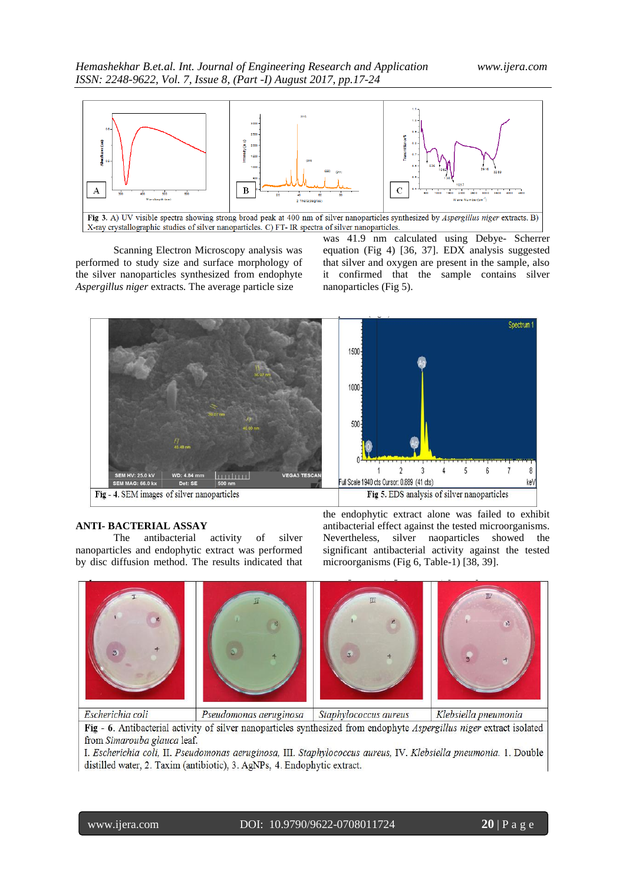

Scanning Electron Microscopy analysis was performed to study size and surface morphology of the silver nanoparticles synthesized from endophyte *Aspergillus niger* extracts*.* The average particle size

was 41.9 nm calculated using Debye- Scherrer equation (Fig 4) [36, 37]. EDX analysis suggested that silver and oxygen are present in the sample, also it confirmed that the sample contains silver nanoparticles (Fig 5).



#### **ANTI- BACTERIAL ASSAY**

The antibacterial activity of silver nanoparticles and endophytic extract was performed by disc diffusion method. The results indicated that the endophytic extract alone was failed to exhibit antibacterial effect against the tested microorganisms. Nevertheless, silver naoparticles showed the significant antibacterial activity against the tested microorganisms (Fig 6, Table-1) [38, 39].



Fig - 6. Antibacterial activity of silver nanoparticles synthesized from endophyte Aspergillus niger extract isolated from Simarouba glauca leaf.

I. Escherichia coli, II. Pseudomonas aeruginosa, III. Staphylococcus aureus, IV. Klebsiella pneumonia. 1. Double distilled water, 2. Taxim (antibiotic), 3. AgNPs, 4. Endophytic extract.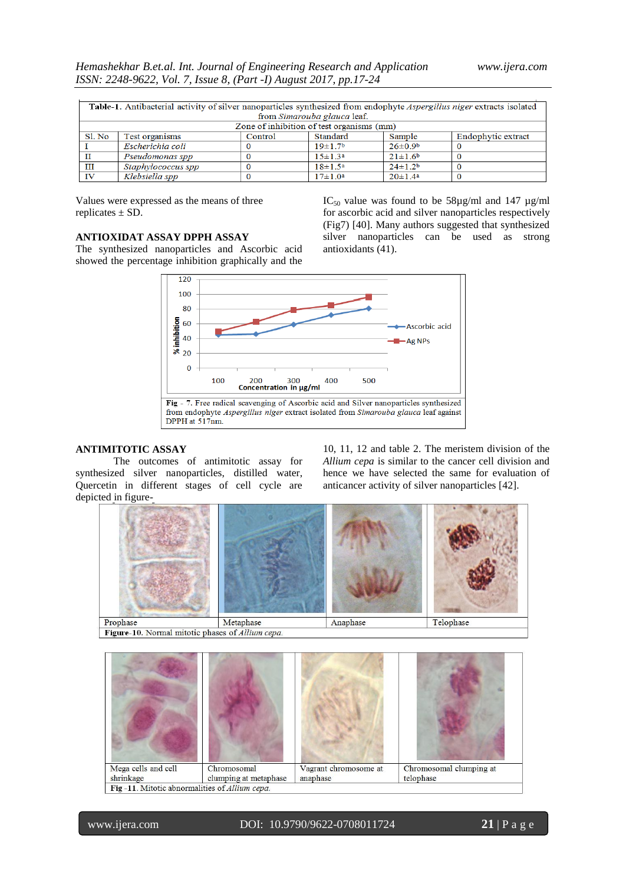| Table-1. Antibacterial activity of silver nanoparticles synthesized from endophyte Aspergillus niger extracts isolated |                    |         |                     |                           |                    |  |  |
|------------------------------------------------------------------------------------------------------------------------|--------------------|---------|---------------------|---------------------------|--------------------|--|--|
| from Simarouba glauca leaf.                                                                                            |                    |         |                     |                           |                    |  |  |
| Zone of inhibition of test organisms (mm)                                                                              |                    |         |                     |                           |                    |  |  |
| Sl. No                                                                                                                 | Test organisms     | Control | Standard            | Sample                    | Endophytic extract |  |  |
|                                                                                                                        | Escherichia coli   |         | 19±1.7 <sup>b</sup> | $26 \pm 0.9^b$            |                    |  |  |
| $_{\rm II}$                                                                                                            | Pseudomonas spp    |         | $15 \pm 1.3^a$      | $21 \pm 1.6$ <sup>b</sup> |                    |  |  |
| Ш                                                                                                                      | Staphylococcus spp |         | $18 \pm 1.5^a$      | $24 \pm 1.2$ <sup>b</sup> |                    |  |  |
| <b>IV</b>                                                                                                              | Klebsiella spp     |         | $17 \pm 1.0^a$      | $20 \pm 1.4^a$            |                    |  |  |

Values were expressed as the means of three replicates ± SD.

# **ANTIOXIDAT ASSAY DPPH ASSAY**

The synthesized nanoparticles and Ascorbic acid showed the percentage inhibition graphically and the



antioxidants (41).

#### **ANTIMITOTIC ASSAY**

The outcomes of antimitotic assay for synthesized silver nanoparticles, distilled water, Quercetin in different stages of cell cycle are depicted in figure-

10, 11, 12 and table 2. The meristem division of the *Allium cepa* is similar to the cancer cell division and hence we have selected the same for evaluation of anticancer activity of silver nanoparticles [42].

IC<sub>50</sub> value was found to be  $58\mu g/ml$  and 147  $\mu g/ml$ for ascorbic acid and silver nanoparticles respectively (Fig7) [40]. Many authors suggested that synthesized silver nanoparticles can be used as strong





www.ijera.com DOI: 10.9790/9622-0708011724 **21** | P a g e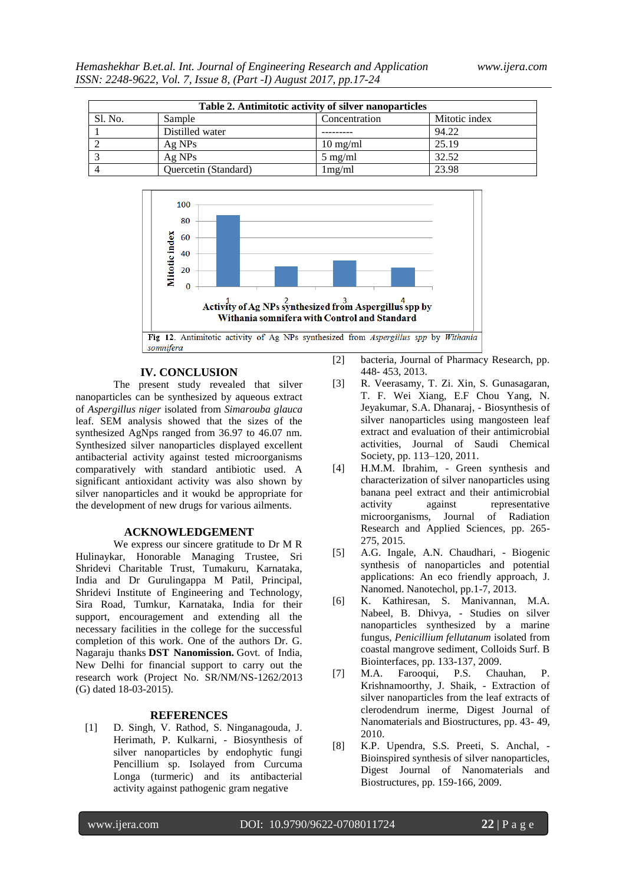| Table 2. Antimitotic activity of silver nanoparticles |                      |                    |               |  |  |  |
|-------------------------------------------------------|----------------------|--------------------|---------------|--|--|--|
| Sl. No.                                               | Sample               | Concentration      | Mitotic index |  |  |  |
|                                                       | Distilled water      |                    | 94.22         |  |  |  |
|                                                       | $Ag$ NPs             | $10 \text{ mg/ml}$ | 25.19         |  |  |  |
|                                                       | Ag NPs               | $5 \text{ mg/ml}$  | 32.52         |  |  |  |
|                                                       | Quercetin (Standard) | 1mg/ml             | 23.98         |  |  |  |



# **IV. CONCLUSION**

The present study revealed that silver nanoparticles can be synthesized by aqueous extract of *Aspergillus niger* isolated from *Simarouba glauca*  leaf. SEM analysis showed that the sizes of the synthesized AgNps ranged from 36.97 to 46.07 nm. Synthesized silver nanoparticles displayed excellent antibacterial activity against tested microorganisms comparatively with standard antibiotic used. A significant antioxidant activity was also shown by silver nanoparticles and it woukd be appropriate for the development of new drugs for various ailments.

#### **ACKNOWLEDGEMENT**

We express our sincere gratitude to Dr M R Hulinaykar, Honorable Managing Trustee, Sri Shridevi Charitable Trust, Tumakuru, Karnataka, India and Dr Gurulingappa M Patil, Principal, Shridevi Institute of Engineering and Technology, Sira Road, Tumkur, Karnataka, India for their support, encouragement and extending all the necessary facilities in the college for the successful completion of this work. One of the authors Dr. G. Nagaraju thanks **DST Nanomission.** Govt. of India, New Delhi for financial support to carry out the research work (Project No. SR/NM/NS-1262/2013 (G) dated 18-03-2015).

#### **REFERENCES**

[1] D. Singh, V. Rathod, S. Ninganagouda, J. Herimath, P. Kulkarni, - Biosynthesis of silver nanoparticles by endophytic fungi Pencillium sp. Isolayed from Curcuma Longa (turmeric) and its antibacterial activity against pathogenic gram negative

- [2] bacteria, Journal of Pharmacy Research, pp. 448- 453, 2013.
- [3] R. Veerasamy, T. Zi. Xin, S. Gunasagaran, T. F. Wei Xiang, E.F Chou Yang, N. Jeyakumar, S.A. Dhanaraj, - Biosynthesis of silver nanoparticles using mangosteen leaf extract and evaluation of their antimicrobial activities, Journal of Saudi Chemical Society, pp. 113–120, 2011.
- [4] H.M.M. Ibrahim, Green synthesis and characterization of silver nanoparticles using banana peel extract and their antimicrobial activity against representative microorganisms, Journal of Radiation Research and Applied Sciences, pp. 265- 275, 2015.
- [5] A.G. Ingale, A.N. Chaudhari, Biogenic synthesis of nanoparticles and potential applications: An eco friendly approach, J. Nanomed. Nanotechol, pp.1-7, 2013.
- [6] K. Kathiresan, S. Manivannan, M.A. Nabeel, B. Dhivya, - Studies on silver nanoparticles synthesized by a marine fungus, *Penicillium fellutanum* isolated from coastal mangrove sediment, Colloids Surf. B Biointerfaces, pp. 133-137, 2009.
- [7] M.A. Farooqui, P.S. Chauhan, P. Krishnamoorthy, J. Shaik, - Extraction of silver nanoparticles from the leaf extracts of clerodendrum inerme, Digest Journal of Nanomaterials and Biostructures, pp. 43- 49, 2010.
- [8] K.P. Upendra, S.S. Preeti, S. Anchal, Bioinspired synthesis of silver nanoparticles, Digest Journal of Nanomaterials and Biostructures, pp. 159-166, 2009.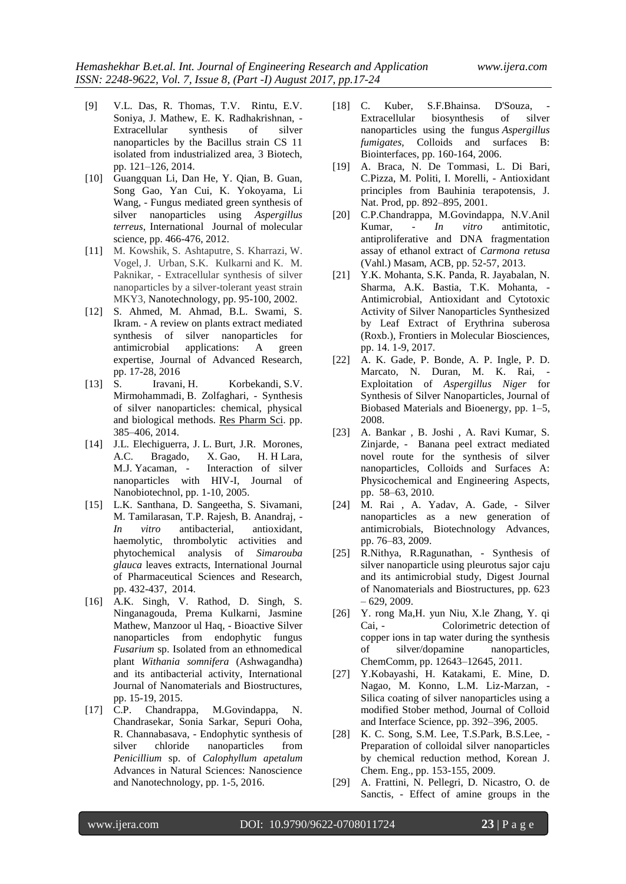- [9] V.L. Das, R. Thomas, T.V. Rintu, E.V. Soniya, J. Mathew, E. K. Radhakrishnan, - Extracellular synthesis of silver nanoparticles by the Bacillus strain CS 11 isolated from industrialized area, 3 Biotech, pp. 121–126, 2014.
- [10] Guangquan Li, Dan He, Y. Qian, B. Guan, Song Gao, Yan Cui, K. Yokoyama, Li Wang, - Fungus mediated green synthesis of silver nanoparticles using *Aspergillus terreus*, International Journal of molecular science, pp. 466-476, 2012.
- [11] M. Kowshik, S. Ashtaputre, S. Kharrazi, W. Vogel, J. Urban, S.K. Kulkarni and K. M. Paknikar, - Extracellular synthesis of silver nanoparticles by a silver-tolerant yeast strain MKY3, [Nanotechnology,](http://iopscience.iop.org/journal/0957-4484) pp. 95-100, 2002.
- [12] S. Ahmed, M. Ahmad, B.L. Swami, S. Ikram. - A review on plants extract mediated synthesis of silver nanoparticles for antimicrobial applications: A green expertise, Journal of Advanced Research, pp. 17-28, 2016
- [13] [S. Iravani,](https://www.ncbi.nlm.nih.gov/pubmed/?term=Iravani%20S%5BAuthor%5D&cauthor=true&cauthor_uid=26339255) [H. Korbekandi,](https://www.ncbi.nlm.nih.gov/pubmed/?term=Korbekandi%20H%5BAuthor%5D&cauthor=true&cauthor_uid=26339255) [S.V.](https://www.ncbi.nlm.nih.gov/pubmed/?term=Mirmohammadi%20S%5BAuthor%5D&cauthor=true&cauthor_uid=26339255)  [Mirmohammadi,](https://www.ncbi.nlm.nih.gov/pubmed/?term=Mirmohammadi%20S%5BAuthor%5D&cauthor=true&cauthor_uid=26339255) [B. Zolfaghari,](https://www.ncbi.nlm.nih.gov/pubmed/?term=Zolfaghari%20B%5BAuthor%5D&cauthor=true&cauthor_uid=26339255) - Synthesis of silver nanoparticles: chemical, physical and biological methods. [Res Pharm Sci.](https://www.ncbi.nlm.nih.gov/pmc/articles/PMC4326978/) pp. 385–406, 2014.
- [14] J.L. Elechiguerra, J.L. Burt, J.R. Morones, A.C. Bragado, X. Gao, H. H Lara, M.J. Yacaman, - Interaction of silver nanoparticles with HIV-I, Journal of Nanobiotechnol, pp. 1-10, 2005.
- [15] L.K. Santhana, D. Sangeetha, S. Sivamani, M. Tamilarasan, T.P. Rajesh, B. Anandraj, - *In vitro* antibacterial, antioxidant, haemolytic, thrombolytic activities and phytochemical analysis of *Simarouba glauca* leaves extracts, International Journal of Pharmaceutical Sciences and Research, pp. 432-437, 2014.
- [16] A.K. Singh, V. Rathod, D. Singh, S. Ninganagouda, Prema Kulkarni, Jasmine Mathew, Manzoor ul Haq, - Bioactive Silver nanoparticles from endophytic fungus *Fusarium* sp. Isolated from an ethnomedical plant *Withania somnifera* (Ashwagandha) and its antibacterial activity, International Journal of Nanomaterials and Biostructures, pp. 15-19, 2015.
- [17] C.P. Chandrappa, M.Govindappa, N. Chandrasekar, Sonia Sarkar, Sepuri Ooha, R. Channabasava, - Endophytic synthesis of silver chloride nanoparticles from *Penicillium* sp. of *Calophyllum apetalum* Advances in Natural Sciences: Nanoscience and Nanotechnology, pp. 1-5, 2016.
- [18] C. [Kuber, S.F.Bhainsa.](http://www.sciencedirect.com/science/article/pii/S0927776505003504) D'Souza, Extracellular biosynthesis of silver nanoparticles using the fungus *Aspergillus fumigates,* Colloids and surfaces B: Biointerfaces, pp. 160-164, 2006.
- [19] A. Braca, N. De Tommasi, L. Di Bari, C.Pizza, M. Politi, I. Morelli, - Antioxidant principles from Bauhinia terapotensis, J. Nat. Prod, pp. 892–895, 2001.
- [20] C.P.Chandrappa, M.Govindappa, N.V.Anil Kumar, - *In vitro* antimitotic, antiproliferative and DNA fragmentation assay of ethanol extract of *Carmona retusa*  (Vahl.) Masam, ACB, pp. 52-57, 2013.
- [21] Y.K. Mohanta, S.K. Panda, R. Jayabalan, N. Sharma, A.K. Bastia, T.K. Mohanta, - Antimicrobial, Antioxidant and Cytotoxic Activity of Silver Nanoparticles Synthesized by Leaf Extract of Erythrina suberosa (Roxb.), Frontiers in Molecular Biosciences, pp. 14. 1-9, 2017.
- [22] A. K. Gade, P. Bonde, A. P. Ingle, P. D. Marcato, N. Duran, M. K. Rai, - Exploitation of *Aspergillus Niger* for Synthesis of Silver Nanoparticles, Journal of Biobased Materials and Bioenergy, pp. 1–5, 2008.
- [23] A. Bankar , B. Joshi , A. Ravi Kumar, S. Zinjarde, - Banana peel extract mediated novel route for the synthesis of silver nanoparticles, Colloids and Surfaces A: Physicochemical and Engineering Aspects, pp. 58–63, 2010.
- [24] M. Rai , A. Yadav, A. Gade, Silver nanoparticles as a new generation of antimicrobials, Biotechnology Advances, pp. 76–83, 2009.
- [25] R.Nithya, R.Ragunathan, Synthesis of silver nanoparticle using pleurotus sajor caju and its antimicrobial study, Digest Journal of Nanomaterials and Biostructures, pp. 623 – 629, 2009.
- [26] Y. rong Ma,H. yun Niu, X.le Zhang, Y. qi Cai, - Colorimetric detection of copper ions in tap water during the synthesis of silver/dopamine nanoparticles, ChemComm, pp. 12643–12645, 2011.
- [27] Y.Kobayashi, H. Katakami, E. Mine, D. Nagao, M. Konno, L.M. Liz-Marzan, - Silica coating of silver nanoparticles using a modified Stober method, Journal of Colloid and Interface Science, pp. 392–396, 2005.
- [28] K. C. Song, S.M. Lee, T.S.Park, B.S.Lee, Preparation of colloidal silver nanoparticles by chemical reduction method, Korean J. Chem. Eng., pp. 153-155, 2009.
- [29] A. Frattini, N. Pellegri, D. Nicastro, O. de Sanctis, - Effect of amine groups in the